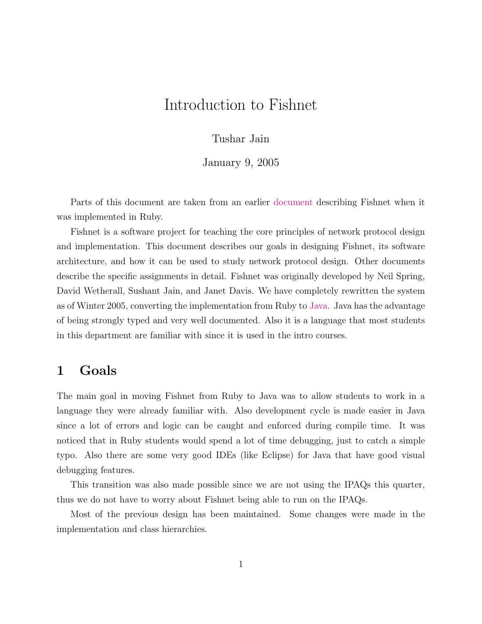# Introduction to Fishnet

### Tushar Jain

#### January 9, 2005

Parts of this document are taken from an earlier [document](http://www.cs.washington.edu/education/courses/461/04au/fishnet-intro.pdf) describing Fishnet when it was implemented in Ruby.

Fishnet is a software project for teaching the core principles of network protocol design and implementation. This document describes our goals in designing Fishnet, its software architecture, and how it can be used to study network protocol design. Other documents describe the specific assignments in detail. Fishnet was originally developed by Neil Spring, David Wetherall, Sushant Jain, and Janet Davis. We have completely rewritten the system as of Winter 2005, converting the implementation from Ruby to [Java.](http://java.sun.com) Java has the advantage of being strongly typed and very well documented. Also it is a language that most students in this department are familiar with since it is used in the intro courses.

### 1 Goals

The main goal in moving Fishnet from Ruby to Java was to allow students to work in a language they were already familiar with. Also development cycle is made easier in Java since a lot of errors and logic can be caught and enforced during compile time. It was noticed that in Ruby students would spend a lot of time debugging, just to catch a simple typo. Also there are some very good IDEs (like Eclipse) for Java that have good visual debugging features.

This transition was also made possible since we are not using the IPAQs this quarter, thus we do not have to worry about Fishnet being able to run on the IPAQs.

Most of the previous design has been maintained. Some changes were made in the implementation and class hierarchies.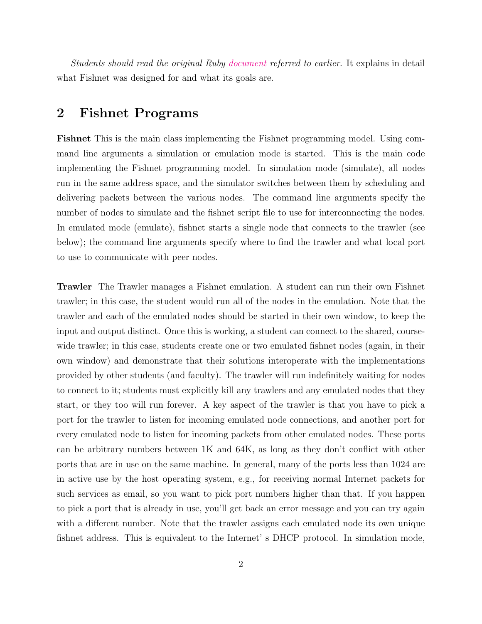Students should read the original Ruby [document](http://www.cs.washington.edu/education/courses/461/04au/fishnet-intro.pdf) referred to earlier. It explains in detail what Fishnet was designed for and what its goals are.

## 2 Fishnet Programs

Fishnet This is the main class implementing the Fishnet programming model. Using command line arguments a simulation or emulation mode is started. This is the main code implementing the Fishnet programming model. In simulation mode (simulate), all nodes run in the same address space, and the simulator switches between them by scheduling and delivering packets between the various nodes. The command line arguments specify the number of nodes to simulate and the fishnet script file to use for interconnecting the nodes. In emulated mode (emulate), fishnet starts a single node that connects to the trawler (see below); the command line arguments specify where to find the trawler and what local port to use to communicate with peer nodes.

Trawler The Trawler manages a Fishnet emulation. A student can run their own Fishnet trawler; in this case, the student would run all of the nodes in the emulation. Note that the trawler and each of the emulated nodes should be started in their own window, to keep the input and output distinct. Once this is working, a student can connect to the shared, coursewide trawler; in this case, students create one or two emulated fishnet nodes (again, in their own window) and demonstrate that their solutions interoperate with the implementations provided by other students (and faculty). The trawler will run indefinitely waiting for nodes to connect to it; students must explicitly kill any trawlers and any emulated nodes that they start, or they too will run forever. A key aspect of the trawler is that you have to pick a port for the trawler to listen for incoming emulated node connections, and another port for every emulated node to listen for incoming packets from other emulated nodes. These ports can be arbitrary numbers between 1K and 64K, as long as they don't conflict with other ports that are in use on the same machine. In general, many of the ports less than 1024 are in active use by the host operating system, e.g., for receiving normal Internet packets for such services as email, so you want to pick port numbers higher than that. If you happen to pick a port that is already in use, you'll get back an error message and you can try again with a different number. Note that the trawler assigns each emulated node its own unique fishnet address. This is equivalent to the Internet' s DHCP protocol. In simulation mode,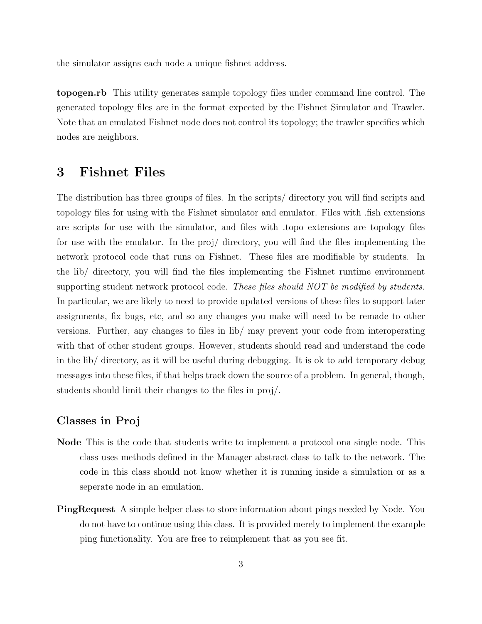the simulator assigns each node a unique fishnet address.

topogen.rb This utility generates sample topology files under command line control. The generated topology files are in the format expected by the Fishnet Simulator and Trawler. Note that an emulated Fishnet node does not control its topology; the trawler specifies which nodes are neighbors.

### 3 Fishnet Files

The distribution has three groups of files. In the scripts/ directory you will find scripts and topology files for using with the Fishnet simulator and emulator. Files with .fish extensions are scripts for use with the simulator, and files with .topo extensions are topology files for use with the emulator. In the proj/ directory, you will find the files implementing the network protocol code that runs on Fishnet. These files are modifiable by students. In the lib/ directory, you will find the files implementing the Fishnet runtime environment supporting student network protocol code. These files should NOT be modified by students. In particular, we are likely to need to provide updated versions of these files to support later assignments, fix bugs, etc, and so any changes you make will need to be remade to other versions. Further, any changes to files in lib/ may prevent your code from interoperating with that of other student groups. However, students should read and understand the code in the lib/ directory, as it will be useful during debugging. It is ok to add temporary debug messages into these files, if that helps track down the source of a problem. In general, though, students should limit their changes to the files in proj/.

### Classes in Proj

- Node This is the code that students write to implement a protocol ona single node. This class uses methods defined in the Manager abstract class to talk to the network. The code in this class should not know whether it is running inside a simulation or as a seperate node in an emulation.
- PingRequest A simple helper class to store information about pings needed by Node. You do not have to continue using this class. It is provided merely to implement the example ping functionality. You are free to reimplement that as you see fit.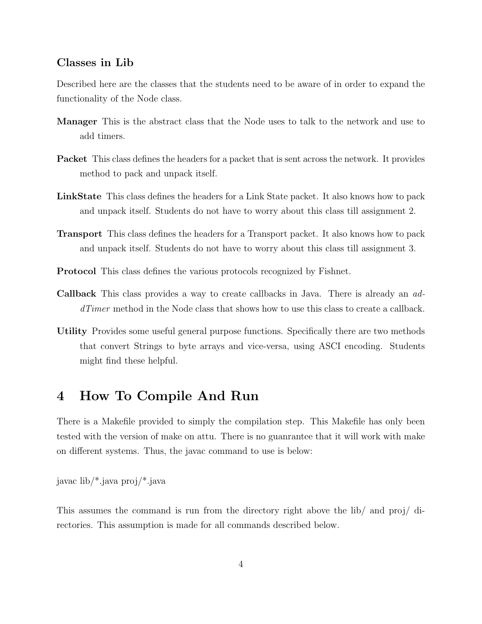#### Classes in Lib

Described here are the classes that the students need to be aware of in order to expand the functionality of the Node class.

- Manager This is the abstract class that the Node uses to talk to the network and use to add timers.
- Packet This class defines the headers for a packet that is sent across the network. It provides method to pack and unpack itself.
- LinkState This class defines the headers for a Link State packet. It also knows how to pack and unpack itself. Students do not have to worry about this class till assignment 2.
- Transport This class defines the headers for a Transport packet. It also knows how to pack and unpack itself. Students do not have to worry about this class till assignment 3.
- Protocol This class defines the various protocols recognized by Fishnet.
- Callback This class provides a way to create callbacks in Java. There is already an addTimer method in the Node class that shows how to use this class to create a callback.
- Utility Provides some useful general purpose functions. Specifically there are two methods that convert Strings to byte arrays and vice-versa, using ASCI encoding. Students might find these helpful.

### 4 How To Compile And Run

There is a Makefile provided to simply the compilation step. This Makefile has only been tested with the version of make on attu. There is no guanrantee that it will work with make on different systems. Thus, the javac command to use is below:

javac lib/\*.java proj/\*.java

This assumes the command is run from the directory right above the lib/ and proj/ directories. This assumption is made for all commands described below.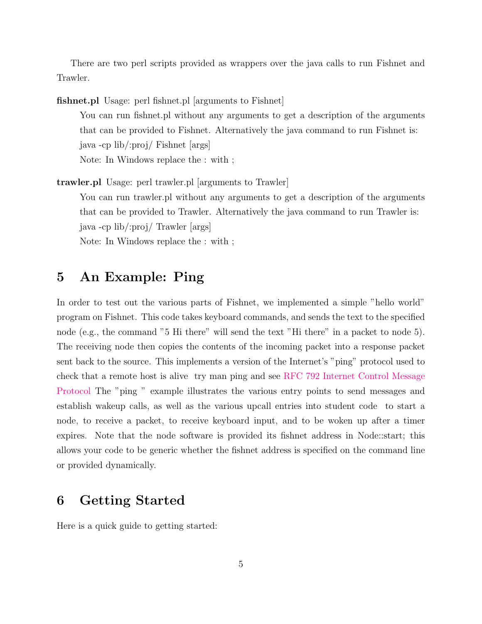There are two perl scripts provided as wrappers over the java calls to run Fishnet and Trawler.

fishnet.pl Usage: perl fishnet.pl [arguments to Fishnet]

You can run fishnet.pl without any arguments to get a description of the arguments that can be provided to Fishnet. Alternatively the java command to run Fishnet is: java -cp lib/:proj/ Fishnet [args] Note: In Windows replace the : with ;

trawler.pl Usage: perl trawler.pl [arguments to Trawler] You can run trawler.pl without any arguments to get a description of the arguments that can be provided to Trawler. Alternatively the java command to run Trawler is:

java -cp lib/:proj/ Trawler [args]

Note: In Windows replace the : with ;

## 5 An Example: Ping

In order to test out the various parts of Fishnet, we implemented a simple "hello world" program on Fishnet. This code takes keyboard commands, and sends the text to the specified node (e.g., the command "5 Hi there" will send the text "Hi there" in a packet to node 5). The receiving node then copies the contents of the incoming packet into a response packet sent back to the source. This implements a version of the Internet's "ping" protocol used to check that a remote host is alive try man ping and see [RFC 792 Internet Control Message](http://www.rfceditor.org/rfc.html) [Protocol](http://www.rfceditor.org/rfc.html) The "ping " example illustrates the various entry points to send messages and establish wakeup calls, as well as the various upcall entries into student code to start a node, to receive a packet, to receive keyboard input, and to be woken up after a timer expires. Note that the node software is provided its fishnet address in Node::start; this allows your code to be generic whether the fishnet address is specified on the command line or provided dynamically.

### 6 Getting Started

Here is a quick guide to getting started: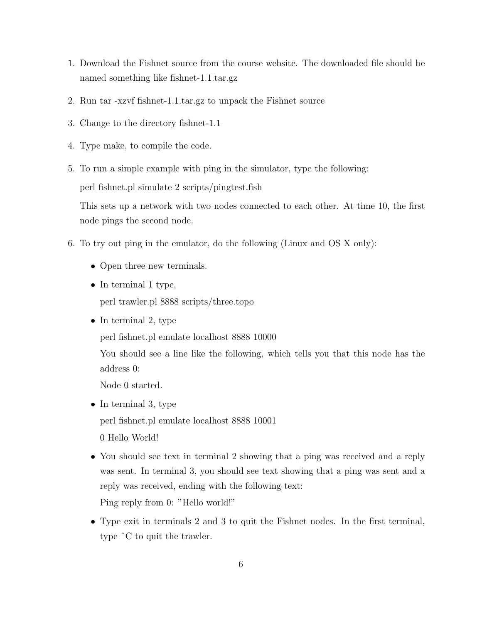- 1. Download the Fishnet source from the course website. The downloaded file should be named something like fishnet-1.1.tar.gz
- 2. Run tar -xzvf fishnet-1.1.tar.gz to unpack the Fishnet source
- 3. Change to the directory fishnet-1.1
- 4. Type make, to compile the code.

5. To run a simple example with ping in the simulator, type the following:

perl fishnet.pl simulate 2 scripts/pingtest.fish

This sets up a network with two nodes connected to each other. At time 10, the first node pings the second node.

- 6. To try out ping in the emulator, do the following (Linux and OS X only):
	- Open three new terminals.
	- In terminal 1 type,

perl trawler.pl 8888 scripts/three.topo

• In terminal 2, type

perl fishnet.pl emulate localhost 8888 10000

You should see a line like the following, which tells you that this node has the address 0:

Node 0 started.

- In terminal 3, type perl fishnet.pl emulate localhost 8888 10001 0 Hello World!
- You should see text in terminal 2 showing that a ping was received and a reply was sent. In terminal 3, you should see text showing that a ping was sent and a reply was received, ending with the following text:

Ping reply from 0: "Hello world!"

• Type exit in terminals 2 and 3 to quit the Fishnet nodes. In the first terminal, type ˆC to quit the trawler.